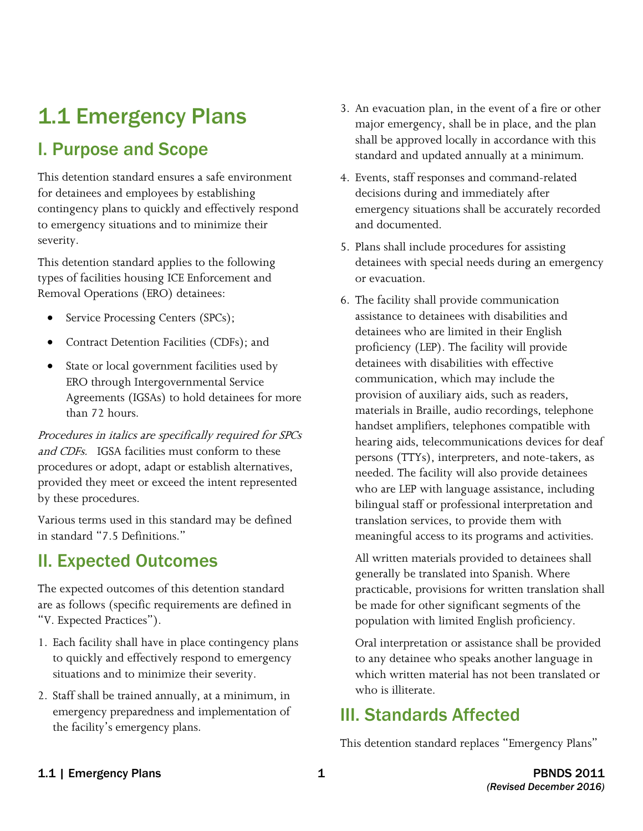# 1.1 Emergency Plans

# I. Purpose and Scope

This detention standard ensures a safe environment for detainees and employees by establishing contingency plans to quickly and effectively respond to emergency situations and to minimize their severity.

This detention standard applies to the following types of facilities housing ICE Enforcement and Removal Operations (ERO) detainees:

- Service Processing Centers (SPCs);
- Contract Detention Facilities (CDFs); and
- State or local government facilities used by ERO through Intergovernmental Service Agreements (IGSAs) to hold detainees for more than 72 hours.

and CDFs. IGSA facilities must conform to these Procedures in italics are specifically required for SPCs procedures or adopt, adapt or establish alternatives, provided they meet or exceed the intent represented by these procedures.

Various terms used in this standard may be defined in standard "7.5 Definitions."

# II. Expected Outcomes

The expected outcomes of this detention standard are as follows (specific requirements are defined in "V. Expected Practices").

- 1. Each facility shall have in place contingency plans to quickly and effectively respond to emergency situations and to minimize their severity.
- 2. Staff shall be trained annually, at a minimum, in emergency preparedness and implementation of the facility's emergency plans.
- major emergency, shall be in place, and the plan 3. An evacuation plan, in the event of a fire or other shall be approved locally in accordance with this standard and updated annually at a minimum.
- 4. Events, staff responses and command-related decisions during and immediately after emergency situations shall be accurately recorded and documented.
- 5. Plans shall include procedures for assisting detainees with special needs during an emergency or evacuation.
- 6. The facility shall provide communication assistance to detainees with disabilities and detainees who are limited in their English proficiency (LEP). The facility will provide detainees with disabilities with effective communication, which may include the provision of auxiliary aids, such as readers, materials in Braille, audio recordings, telephone handset amplifiers, telephones compatible with hearing aids, telecommunications devices for deaf persons (TTYs), interpreters, and note-takers, as needed. The facility will also provide detainees who are LEP with language assistance, including bilingual staff or professional interpretation and translation services, to provide them with meaningful access to its programs and activities.

All written materials provided to detainees shall generally be translated into Spanish. Where practicable, provisions for written translation shall be made for other significant segments of the population with limited English proficiency.

 who is illiterate. Oral interpretation or assistance shall be provided to any detainee who speaks another language in which written material has not been translated or

# III. Standards Affected

This detention standard replaces "Emergency Plans"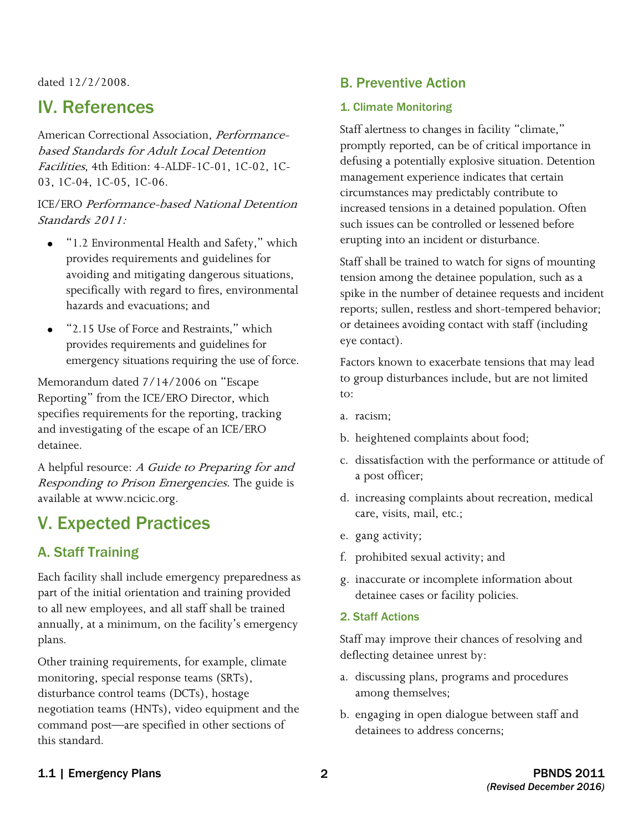dated 12/2/2008.

# IV. References

American Correctional Association, Performancebased Standards for Adult Local Detention Facilities, 4th Edition: 4-ALDF-1C-01, 1C-02, 1C-03, 1C-04, 1C-05, 1C-06.

### Standards 2011: ICE/ERO Performance-based National Detention

- "1.2 Environmental Health and Safety," which provides requirements and guidelines for avoiding and mitigating dangerous situations, specifically with regard to fires, environmental hazards and evacuations; and
- provides requirements and guidelines for • "2.15 Use of Force and Restraints," which emergency situations requiring the use of force.

Memorandum dated 7/14/2006 on "Escape Reporting" from the ICE/ERO Director, which specifies requirements for the reporting, tracking and investigating of the escape of an ICE/ERO detainee.

A helpful resource: A Guide to Preparing for and Responding to Prison Emergencies. The guide is available at www.ncicic.org.

# V. Expected Practices

# A. Staff Training

Each facility shall include emergency preparedness as part of the initial orientation and training provided to all new employees, and all staff shall be trained annually, at a minimum, on the facility's emergency plans.

Other training requirements, for example, climate monitoring, special response teams (SRTs), disturbance control teams (DCTs), hostage negotiation teams (HNTs), video equipment and the command post—are specified in other sections of this standard.

# B. Preventive Action

### 1. Climate Monitoring

 Staff alertness to changes in facility "climate," promptly reported, can be of critical importance in circumstances may predictably contribute to increased tensions in a detained population. Often such issues can be controlled or lessened before defusing a potentially explosive situation. Detention management experience indicates that certain erupting into an incident or disturbance.

 Staff shall be trained to watch for signs of mounting tension among the detainee population, such as a spike in the number of detainee requests and incident reports; sullen, restless and short-tempered behavior; or detainees avoiding contact with staff (including eye contact).

Factors known to exacerbate tensions that may lead to group disturbances include, but are not limited to:

- a. racism:
- b. heightened complaints about food;
- c. dissatisfaction with the performance or attitude of a post officer;
- d. increasing complaints about recreation, medical care, visits, mail, etc.;
- e. gang activity;
- f. prohibited sexual activity; and
- detainee cases or facility policies. g. inaccurate or incomplete information about
- 2. Staff Actions

Staff may improve their chances of resolving and deflecting detainee unrest by:

- a. discussing plans, programs and procedures among themselves;
- b. engaging in open dialogue between staff and detainees to address concerns;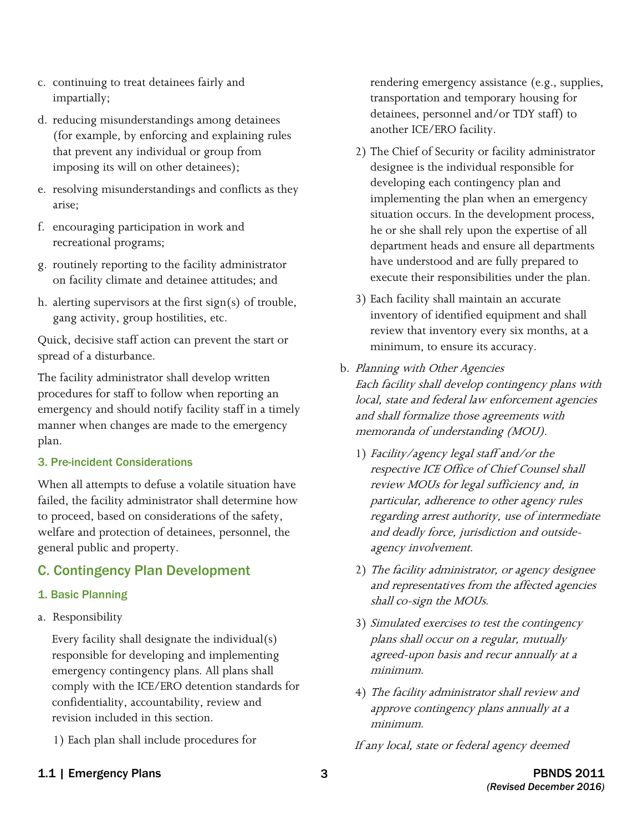- c. continuing to treat detainees fairly and impartially;
- d. reducing misunderstandings among detainees (for example, by enforcing and explaining rules that prevent any individual or group from imposing its will on other detainees);
- e. resolving misunderstandings and conflicts as they arise;
- f. encouraging participation in work and recreational programs;
- g. routinely reporting to the facility administrator on facility climate and detainee attitudes; and
- h. alerting supervisors at the first sign(s) of trouble, gang activity, group hostilities, etc.

Quick, decisive staff action can prevent the start or spread of a disturbance.

The facility administrator shall develop written procedures for staff to follow when reporting an emergency and should notify facility staff in a timely manner when changes are made to the emergency plan.

#### 3. Pre-incident Considerations

When all attempts to defuse a volatile situation have failed, the facility administrator shall determine how to proceed, based on considerations of the safety, welfare and protection of detainees, personnel, the general public and property.

## C. Contingency Plan Development

### 1. Basic Planning

a. Responsibility

Every facility shall designate the individual(s) responsible for developing and implementing emergency contingency plans. All plans shall comply with the ICE/ERO detention standards for confidentiality, accountability, review and revision included in this section.

1) Each plan shall include procedures for

 detainees, personnel and/or TDY staff) to rendering emergency assistance (e.g., supplies, transportation and temporary housing for another ICE/ERO facility.

- 2) The Chief of Security or facility administrator designee is the individual responsible for developing each contingency plan and implementing the plan when an emergency situation occurs. In the development process, he or she shall rely upon the expertise of all department heads and ensure all departments have understood and are fully prepared to execute their responsibilities under the plan.
- 3) Each facility shall maintain an accurate inventory of identified equipment and shall review that inventory every six months, at a minimum, to ensure its accuracy.
- b. Planning with Other Agencies Each facility shall develop contingency plans with local, state and federal law enforcement agencies and shall formalize those agreements with memoranda of understanding (MOU).
	- 1) Facility/agency legal staff and/or the respective ICE Office of Chief Counsel shall review MOUs for legal sufficiency and, in particular, adherence to other agency rules regarding arrest authority, use of intermediate and deadly force, jurisdiction and outsideagency involvement.
	- and representatives from the affected agencies 2) The facility administrator, or agency designee shall co-sign the MOUs.
	- 3) Simulated exercises to test the contingency plans shall occur on a regular, mutually agreed-upon basis and recur annually at a minimum.
	- 4) The facility administrator shall review and approve contingency plans annually at a minimum.
	- If any local, state or federal agency deemed

### 1.1 | Emergency Plans **3** 2011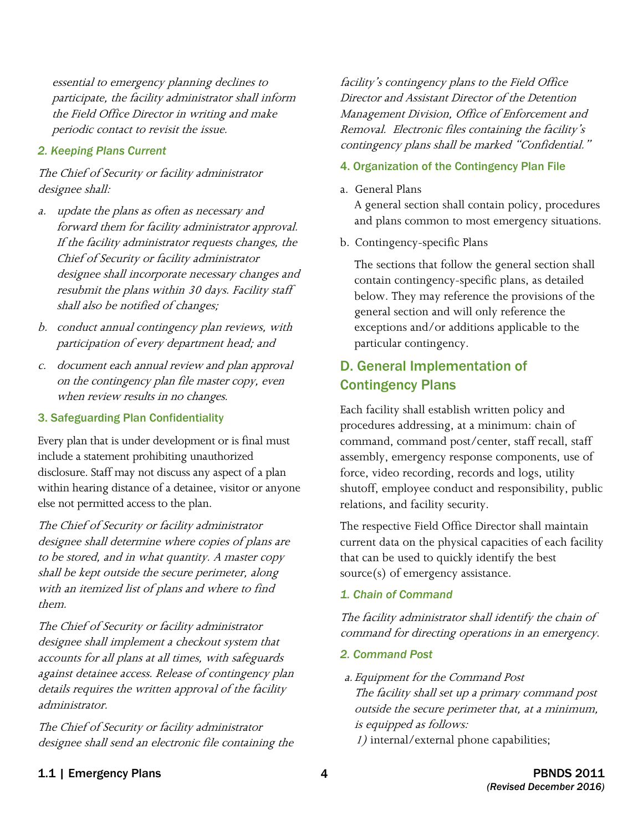essential to emergency planning declines to participate, the facility administrator shall inform the Field Office Director in writing and make periodic contact to revisit the issue.

#### *2. Keeping Plans Current*

The Chief of Security or facility administrator designee shall:

- a. update the plans as often as necessary and forward them for facility administrator approval. If the facility administrator requests changes, the Chief of Security or facility administrator designee shall incorporate necessary changes and resubmit the plans within 30 days. Facility staff shall also be notified of changes;
- b. conduct annual contingency plan reviews, with participation of every department head; and
- c. document each annual review and plan approval on the contingency plan file master copy, even when review results in no changes.

#### 3. Safeguarding Plan Confidentiality

 Every plan that is under development or is final must disclosure. Staff may not discuss any aspect of a plan include a statement prohibiting unauthorized within hearing distance of a detainee, visitor or anyone else not permitted access to the plan.

The Chief of Security or facility administrator designee shall determine where copies of plans are to be stored, and in what quantity. A master copy shall be kept outside the secure perimeter, along with an itemized list of plans and where to find them.

The Chief of Security or facility administrator designee shall implement a checkout system that accounts for all plans at all times, with safeguards against detainee access. Release of contingency plan details requires the written approval of the facility administrator.

The Chief of Security or facility administrator designee shall send an electronic file containing the facility's contingency plans to the Field Office Director and Assistant Director of the Detention Management Division, Office of Enforcement and Removal. Electronic files containing the facility's contingency plans shall be marked "Confidential."

#### 4. Organization of the Contingency Plan File

a. General Plans

A general section shall contain policy, procedures and plans common to most emergency situations.

b. Contingency-specific Plans

The sections that follow the general section shall contain contingency-specific plans, as detailed below. They may reference the provisions of the general section and will only reference the exceptions and/or additions applicable to the particular contingency.

### D. General Implementation of Contingency Plans

Each facility shall establish written policy and procedures addressing, at a minimum: chain of command, command post/center, staff recall, staff assembly, emergency response components, use of force, video recording, records and logs, utility shutoff, employee conduct and responsibility, public relations, and facility security.

The respective Field Office Director shall maintain current data on the physical capacities of each facility that can be used to quickly identify the best source(s) of emergency assistance.

#### *1. Chain of Command*

The facility administrator shall identify the chain of command for directing operations in an emergency.

- *2. Command Post*
- a. Equipment for the Command Post The facility shall set up a primary command post outside the secure perimeter that, at a minimum, is equipped as follows:
	- 1) internal/external phone capabilities;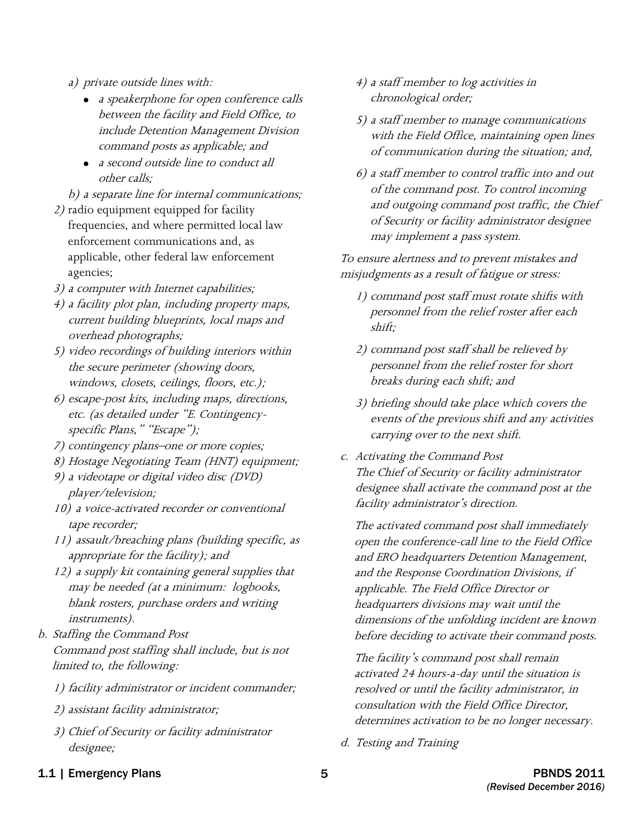- a) private outside lines with:
	- a speakerphone for open conference calls between the facility and Field Office, to include Detention Management Division command posts as applicable; and
	- a second outside line to conduct all other calls;

b) a separate line for internal communications;

- 2) radio equipment equipped for facility frequencies, and where permitted local law enforcement communications and, as applicable, other federal law enforcement agencies;
- 3) a computer with Internet capabilities;
- 4) a facility plot plan, including property maps, current building blueprints, local maps and overhead photographs;
- 5) video recordings of building interiors within the secure perimeter (showing doors, windows, closets, ceilings, floors, etc.);
- 6) escape-post kits, including maps, directions, etc. (as detailed under "E. Contingencyspecific Plans," "Escape");
- 7) contingency plans–one or more copies;
- 8) Hostage Negotiating Team (HNT) equipment;
- 9) a videotape or digital video disc (DVD) player/television;
- 10) a voice-activated recorder or conventional tape recorder;
- 11) assault/breaching plans (building specific, as appropriate for the facility); and
- may be needed (at a minimum: logbooks, 12) a supply kit containing general supplies that blank rosters, purchase orders and writing instruments).
- b. Staffing the Command Post Command post staffing shall include, but is not limited to, the following:
	- 1) facility administrator or incident commander;
	- 2) assistant facility administrator;
	- 3) Chief of Security or facility administrator designee;
- 4) a staff member to log activities in chronological order;
- 5) a staff member to manage communications with the Field Office, maintaining open lines of communication during the situation; and,
- and outgoing command post traffic, the Chief 6) a staff member to control traffic into and out of the command post. To control incoming of Security or facility administrator designee may implement a pass system.

To ensure alertness and to prevent mistakes and misjudgments as a result of fatigue or stress:

- 1) command post staff must rotate shifts with personnel from the relief roster after each shift;
- 2) command post staff shall be relieved by personnel from the relief roster for short breaks during each shift; and
- 3) briefing should take place which covers the events of the previous shift and any activities carrying over to the next shift.
- c. Activating the Command Post The Chief of Security or facility administrator designee shall activate the command post at the facility administrator's direction.

The activated command post shall immediately open the conference-call line to the Field Office and ERO headquarters Detention Management, and the Response Coordination Divisions, if applicable. The Field Office Director or headquarters divisions may wait until the dimensions of the unfolding incident are known before deciding to activate their command posts.

 determines activation to be no longer necessary. The facility's command post shall remain activated 24 hours-a-day until the situation is resolved or until the facility administrator, in consultation with the Field Office Director,

d. Testing and Training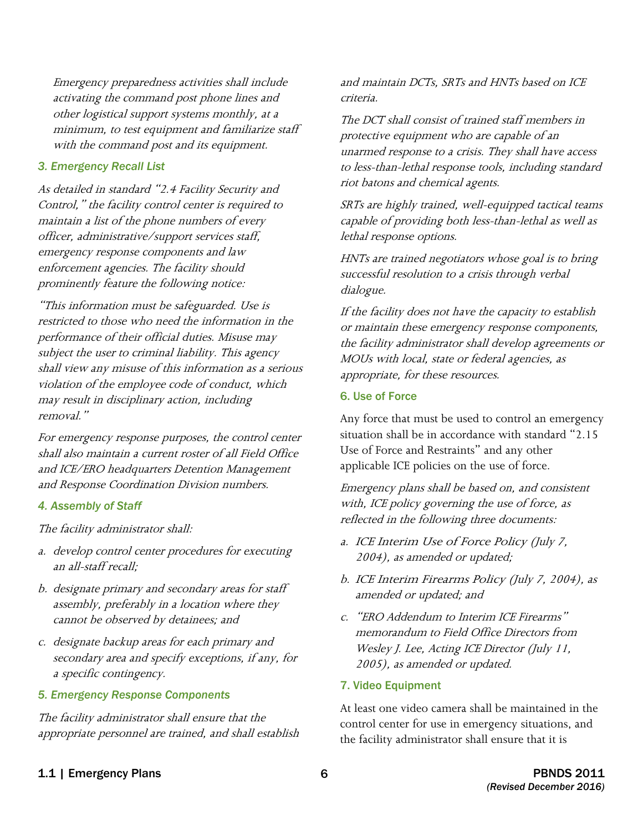activating the command post phone lines and Emergency preparedness activities shall include other logistical support systems monthly, at a minimum, to test equipment and familiarize staff with the command post and its equipment.

#### *3. Emergency Recall List*

As detailed in standard "2.4 Facility Security and Control," the facility control center is required to maintain a list of the phone numbers of every officer, administrative/support services staff, emergency response components and law enforcement agencies. The facility should prominently feature the following notice:

"This information must be safeguarded. Use is restricted to those who need the information in the performance of their official duties. Misuse may subject the user to criminal liability. This agency shall view any misuse of this information as a serious violation of the employee code of conduct, which may result in disciplinary action, including removal."

For emergency response purposes, the control center shall also maintain a current roster of all Field Office and ICE/ERO headquarters Detention Management and Response Coordination Division numbers.

#### *4. Assembly of Staff*

The facility administrator shall:

- a. develop control center procedures for executing an all-staff recall;
- b. designate primary and secondary areas for staff assembly, preferably in a location where they cannot be observed by detainees; and
- c. designate backup areas for each primary and secondary area and specify exceptions, if any, for a specific contingency.

#### *5. Emergency Response Components*

The facility administrator shall ensure that the appropriate personnel are trained, and shall establish and maintain DCTs, SRTs and HNTs based on ICE criteria.

The DCT shall consist of trained staff members in protective equipment who are capable of an unarmed response to a crisis. They shall have access to less-than-lethal response tools, including standard riot batons and chemical agents.

SRTs are highly trained, well-equipped tactical teams capable of providing both less-than-lethal as well as lethal response options.

HNTs are trained negotiators whose goal is to bring successful resolution to a crisis through verbal dialogue.

If the facility does not have the capacity to establish or maintain these emergency response components, the facility administrator shall develop agreements or MOUs with local, state or federal agencies, as appropriate, for these resources.

#### 6. Use of Force

Any force that must be used to control an emergency situation shall be in accordance with standard "2.15 Use of Force and Restraints" and any other applicable ICE policies on the use of force.

Emergency plans shall be based on, and consistent with, ICE policy governing the use of force, as reflected in the following three documents:

- a. ICE Interim Use of Force Policy (July 7, 2004), as amended or updated;
- b. ICE Interim Firearms Policy (July 7, 2004), as amended or updated; and
- c. "ERO Addendum to Interim ICE Firearms" memorandum to Field Office Directors from Wesley J. Lee, Acting ICE Director (July 11, 2005), as amended or updated.

#### 7. Video Equipment

At least one video camera shall be maintained in the control center for use in emergency situations, and the facility administrator shall ensure that it is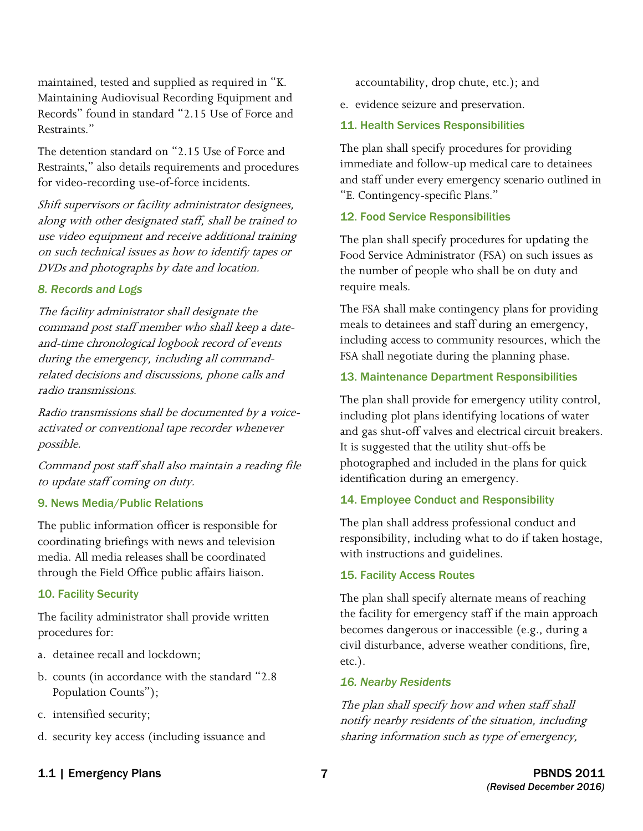maintained, tested and supplied as required in "K. Maintaining Audiovisual Recording Equipment and Records" found in standard "2.15 Use of Force and Restraints."

The detention standard on "2.15 Use of Force and Restraints," also details requirements and procedures for video-recording use-of-force incidents.

Shift supervisors or facility administrator designees, along with other designated staff, shall be trained to use video equipment and receive additional training on such technical issues as how to identify tapes or DVDs and photographs by date and location.

#### *8. Records and Logs*

The facility administrator shall designate the command post staff member who shall keep a dateand-time chronological logbook record of events during the emergency, including all commandrelated decisions and discussions, phone calls and radio transmissions.

Radio transmissions shall be documented by a voiceactivated or conventional tape recorder whenever possible.

Command post staff shall also maintain a reading file to update staff coming on duty.

#### 9. News Media/Public Relations

The public information officer is responsible for coordinating briefings with news and television media. All media releases shall be coordinated through the Field Office public affairs liaison.

#### 10. Facility Security

The facility administrator shall provide written procedures for:

- a. detainee recall and lockdown;
- b. counts (in accordance with the standard "2.8 Population Counts");
- c. intensified security;
- d. security key access (including issuance and

accountability, drop chute, etc.); and

e. evidence seizure and preservation.

#### 11. Health Services Responsibilities

 The plan shall specify procedures for providing and staff under every emergency scenario outlined in immediate and follow-up medical care to detainees "E. Contingency-specific Plans."

#### 12. Food Service Responsibilities

The plan shall specify procedures for updating the Food Service Administrator (FSA) on such issues as the number of people who shall be on duty and require meals.

The FSA shall make contingency plans for providing meals to detainees and staff during an emergency, including access to community resources, which the FSA shall negotiate during the planning phase.

#### 13. Maintenance Department Responsibilities

The plan shall provide for emergency utility control, including plot plans identifying locations of water and gas shut-off valves and electrical circuit breakers. It is suggested that the utility shut-offs be photographed and included in the plans for quick identification during an emergency.

#### 14. Employee Conduct and Responsibility

The plan shall address professional conduct and responsibility, including what to do if taken hostage, with instructions and guidelines.

#### 15. Facility Access Routes

The plan shall specify alternate means of reaching the facility for emergency staff if the main approach becomes dangerous or inaccessible (e.g., during a civil disturbance, adverse weather conditions, fire, etc.).

#### *16. Nearby Residents*

The plan shall specify how and when staff shall notify nearby residents of the situation, including sharing information such as type of emergency,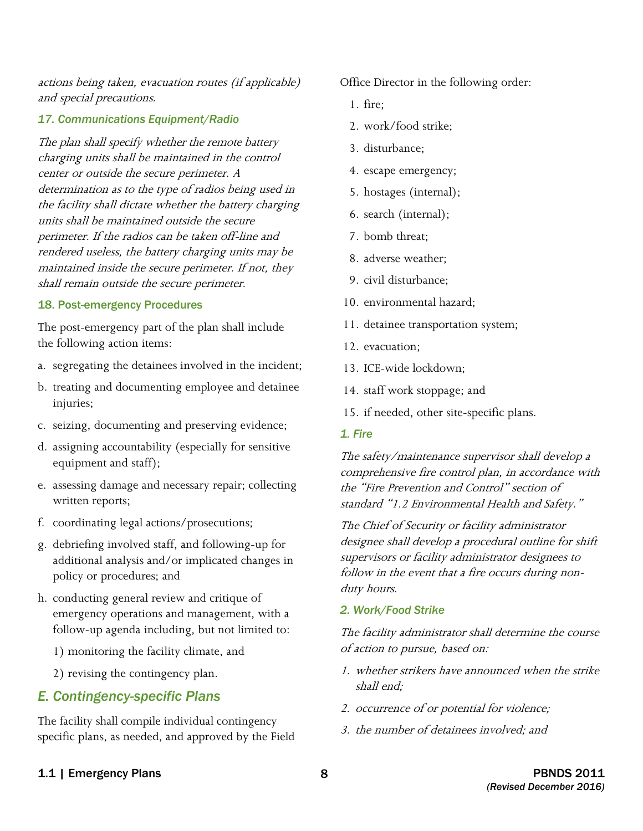actions being taken, evacuation routes (if applicable) and special precautions.

#### *17. Communications Equipment/Radio*

The plan shall specify whether the remote battery charging units shall be maintained in the control center or outside the secure perimeter. A determination as to the type of radios being used in the facility shall dictate whether the battery charging units shall be maintained outside the secure perimeter. If the radios can be taken off-line and rendered useless, the battery charging units may be maintained inside the secure perimeter. If not, they shall remain outside the secure perimeter.

#### 18. Post-emergency Procedures

The post-emergency part of the plan shall include the following action items:

- a. segregating the detainees involved in the incident;
- b. treating and documenting employee and detainee injuries;
- c. seizing, documenting and preserving evidence;
- d. assigning accountability (especially for sensitive equipment and staff);
- e. assessing damage and necessary repair; collecting written reports;
- f. coordinating legal actions/prosecutions;
- g. debriefing involved staff, and following-up for additional analysis and/or implicated changes in policy or procedures; and
- h. conducting general review and critique of emergency operations and management, with a follow-up agenda including, but not limited to:
	- 1) monitoring the facility climate, and
	- 2) revising the contingency plan.

## *E. Contingency-specific Plans*

 The facility shall compile individual contingency specific plans, as needed, and approved by the Field Office Director in the following order:

- 1. fire;
- 2. work/food strike;
- 3. disturbance;
- 4. escape emergency;
- 5. hostages (internal);
- 6. search (internal);
- 7. bomb threat;
- 8. adverse weather;
- 9. civil disturbance;
- 10. environmental hazard;
- 11. detainee transportation system;
- 12. evacuation;
- 13. ICE-wide lockdown;
- 14. staff work stoppage; and
- 15. if needed, other site-specific plans.
- *1. Fire*

The safety/maintenance supervisor shall develop a comprehensive fire control plan, in accordance with the "Fire Prevention and Control" section of standard "1.2 Environmental Health and Safety."

The Chief of Security or facility administrator designee shall develop a procedural outline for shift supervisors or facility administrator designees to follow in the event that a fire occurs during nonduty hours.

#### *2. Work/Food Strike*

The facility administrator shall determine the course of action to pursue, based on:

- 1. whether strikers have announced when the strike shall end;
- 2. occurrence of or potential for violence;
- 3. the number of detainees involved; and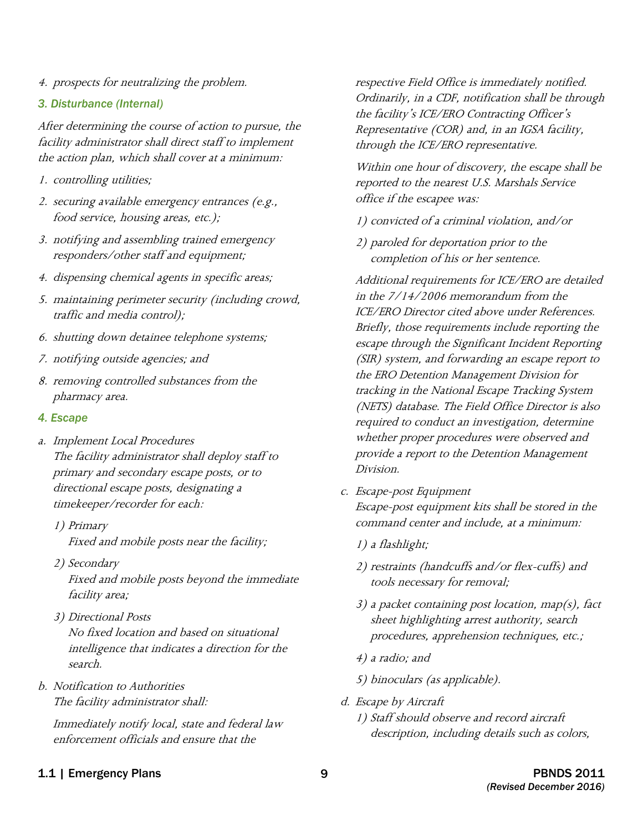- 4. prospects for neutralizing the problem.
- *3. Disturbance (Internal)*

After determining the course of action to pursue, the facility administrator shall direct staff to implement the action plan, which shall cover at a minimum:

- 1. controlling utilities;
- 2. securing available emergency entrances (e.g., food service, housing areas, etc.);
- 3. notifying and assembling trained emergency responders/other staff and equipment;
- 4. dispensing chemical agents in specific areas;
- 5. maintaining perimeter security (including crowd, traffic and media control);
- 6. shutting down detainee telephone systems;
- 7. notifying outside agencies; and
- 8. removing controlled substances from the pharmacy area.
- *4. Escape*
- a. Implement Local Procedures The facility administrator shall deploy staff to primary and secondary escape posts, or to directional escape posts, designating a timekeeper/recorder for each:
	- 1) Primary Fixed and mobile posts near the facility;
	- 2) Secondary Fixed and mobile posts beyond the immediate facility area;
	- 3) Directional Posts No fixed location and based on situational intelligence that indicates a direction for the search.
- b. Notification to Authorities The facility administrator shall:

Immediately notify local, state and federal law enforcement officials and ensure that the

respective Field Office is immediately notified. Ordinarily, in a CDF, notification shall be through the facility's ICE/ERO Contracting Officer's Representative (COR) and, in an IGSA facility, through the ICE/ERO representative.

Within one hour of discovery, the escape shall be reported to the nearest U.S. Marshals Service office if the escapee was:

- 1) convicted of a criminal violation, and/or
- 2) paroled for deportation prior to the completion of his or her sentence.

Additional requirements for ICE/ERO are detailed in the 7/14/2006 memorandum from the ICE/ERO Director cited above under References. Briefly, those requirements include reporting the escape through the Significant Incident Reporting (SIR) system, and forwarding an escape report to the ERO Detention Management Division for tracking in the National Escape Tracking System (NETS) database. The Field Office Director is also required to conduct an investigation, determine whether proper procedures were observed and provide a report to the Detention Management Division.

c. Escape-post Equipment

Escape-post equipment kits shall be stored in the command center and include, at a minimum:

- 1) a flashlight;
- 2) restraints (handcuffs and/or flex-cuffs) and tools necessary for removal;
- 3) a packet containing post location, map(s), fact sheet highlighting arrest authority, search procedures, apprehension techniques, etc.;
- 4) a radio; and
- 5) binoculars (as applicable).
- d. Escape by Aircraft
	- 1) Staff should observe and record aircraft description, including details such as colors,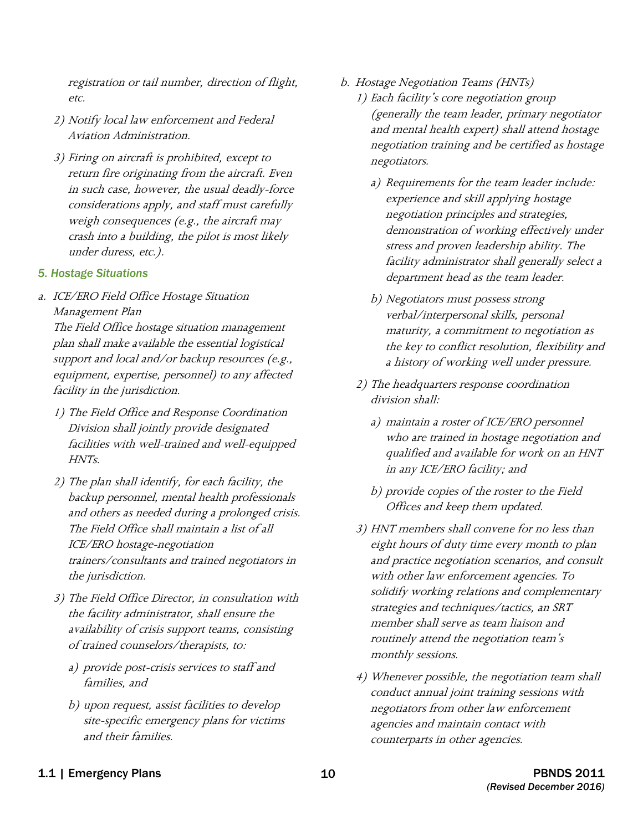registration or tail number, direction of flight, b. Hostage Negotiation Teams (HNTs) etc.  $\qquad 1)$  Each facility's core negotiation group

- 2) Notify local law enforcement and Federal Aviation Administration.
- 3) Firing on aircraft is prohibited, except to return fire originating from the aircraft. Even in such case, however, the usual deadly-force considerations apply, and staff must carefully weigh consequences (e.g., the aircraft may crash into a building, the pilot is most likely under duress, etc.).

#### *5. Hostage Situations*

a. ICE/ERO Field Office Hostage Situation Management Plan

 plan shall make available the essential logistical The Field Office hostage situation management support and local and/or backup resources (e.g., equipment, expertise, personnel) to any affected facility in the jurisdiction.

- 1) The Field Office and Response Coordination Division shall jointly provide designated facilities with well-trained and well-equipped HNTs.
- and others as needed during a prolonged crisis. The Field Office shall maintain a list of all 2) The plan shall identify, for each facility, the backup personnel, mental health professionals ICE/ERO hostage-negotiation trainers/consultants and trained negotiators in the jurisdiction.
- 3) The Field Office Director, in consultation with the facility administrator, shall ensure the availability of crisis support teams, consisting of trained counselors/therapists, to:
	- a) provide post-crisis services to staff and families, and
	- b) upon request, assist facilities to develop site-specific emergency plans for victims and their families.
- - (generally the team leader, primary negotiator and mental health expert) shall attend hostage negotiation training and be certified as hostage negotiators.
		- a) Requirements for the team leader include: experience and skill applying hostage negotiation principles and strategies, demonstration of working effectively under stress and proven leadership ability. The facility administrator shall generally select a department head as the team leader.
		- b) Negotiators must possess strong verbal/interpersonal skills, personal maturity, a commitment to negotiation as the key to conflict resolution, flexibility and a history of working well under pressure.
	- 2) The headquarters response coordination division shall:
		- a) maintain a roster of ICE/ERO personnel who are trained in hostage negotiation and qualified and available for work on an HNT in any ICE/ERO facility; and
		- b) provide copies of the roster to the Field Offices and keep them updated.
	- 3) HNT members shall convene for no less than eight hours of duty time every month to plan and practice negotiation scenarios, and consult with other law enforcement agencies. To solidify working relations and complementary strategies and techniques/tactics, an SRT member shall serve as team liaison and routinely attend the negotiation team's monthly sessions.
	- 4) Whenever possible, the negotiation team shall conduct annual joint training sessions with negotiators from other law enforcement agencies and maintain contact with counterparts in other agencies.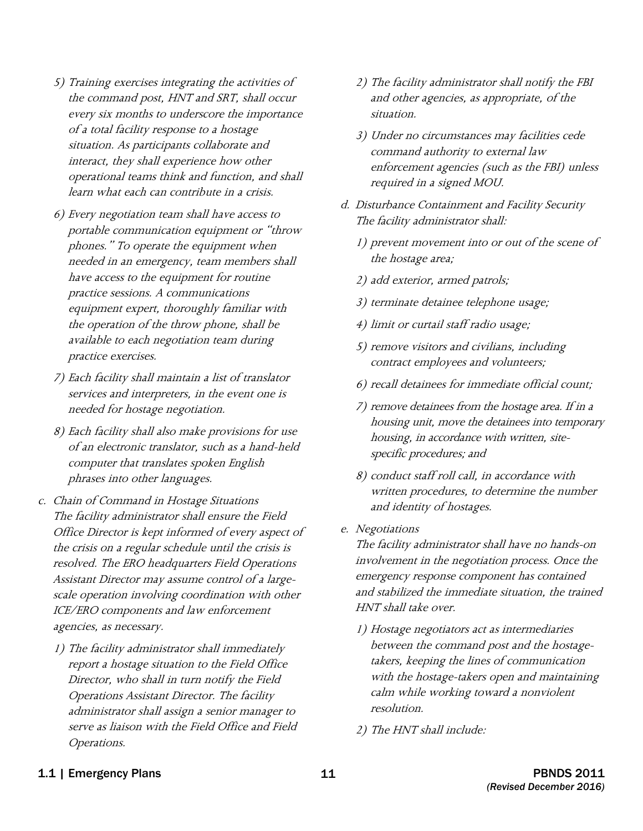- situation. As participants collaborate and 5) Training exercises integrating the activities of the command post, HNT and SRT, shall occur every six months to underscore the importance of a total facility response to a hostage interact, they shall experience how other operational teams think and function, and shall learn what each can contribute in a crisis.
- 6) Every negotiation team shall have access to portable communication equipment or "throw phones." To operate the equipment when needed in an emergency, team members shall have access to the equipment for routine practice sessions. A communications equipment expert, thoroughly familiar with the operation of the throw phone, shall be available to each negotiation team during practice exercises.
- 7) Each facility shall maintain a list of translator services and interpreters, in the event one is needed for hostage negotiation.
- 8) Each facility shall also make provisions for use of an electronic translator, such as a hand-held computer that translates spoken English phrases into other languages.
- c. Chain of Command in Hostage Situations The facility administrator shall ensure the Field Office Director is kept informed of every aspect of the crisis on a regular schedule until the crisis is resolved. The ERO headquarters Field Operations Assistant Director may assume control of a largescale operation involving coordination with other ICE/ERO components and law enforcement agencies, as necessary.
	- 1) The facility administrator shall immediately report a hostage situation to the Field Office Director, who shall in turn notify the Field Operations Assistant Director. The facility administrator shall assign a senior manager to serve as liaison with the Field Office and Field Operations.
- 2) The facility administrator shall notify the FBI and other agencies, as appropriate, of the situation.
- 3) Under no circumstances may facilities cede command authority to external law enforcement agencies (such as the FBI) unless required in a signed MOU.
- d. Disturbance Containment and Facility Security The facility administrator shall:
	- 1) prevent movement into or out of the scene of the hostage area;
	- 2) add exterior, armed patrols;
	- 3) terminate detainee telephone usage;
	- 4) limit or curtail staff radio usage;
	- 5) remove visitors and civilians, including contract employees and volunteers;
	- 6) recall detainees for immediate official count;
	- 7) remove detainees from the hostage area. If in a housing unit, move the detainees into temporary housing, in accordance with written, sitespecific procedures; and
	- 8) conduct staff roll call, in accordance with written procedures, to determine the number and identity of hostages.
- e. Negotiations

 involvement in the negotiation process. Once the and stabilized the immediate situation, the trained The facility administrator shall have no hands-on emergency response component has contained HNT shall take over.

- 1) Hostage negotiators act as intermediaries between the command post and the hostagetakers, keeping the lines of communication with the hostage-takers open and maintaining calm while working toward a nonviolent resolution.
- 2) The HNT shall include: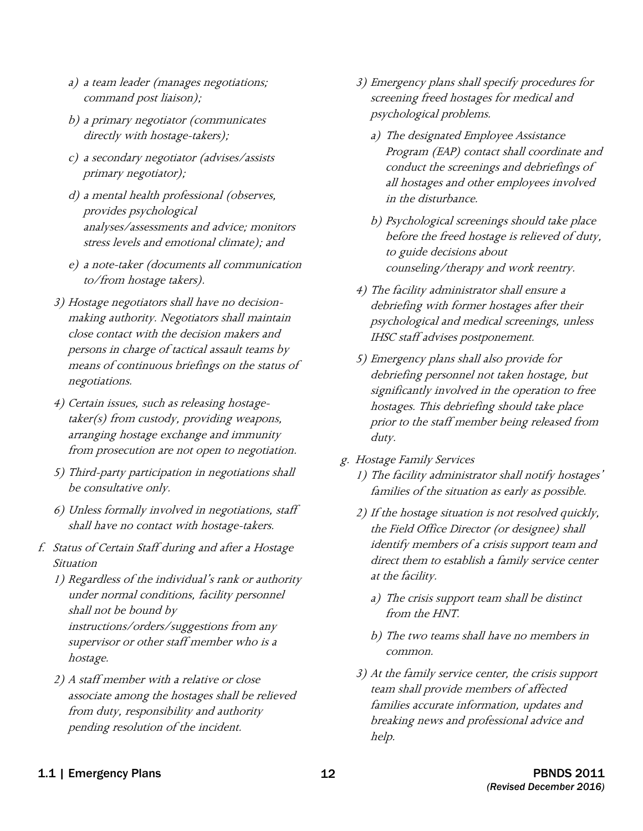- a) a team leader (manages negotiations; command post liaison);
- b) a primary negotiator (communicates directly with hostage-takers);
- c) a secondary negotiator (advises/assists primary negotiator);
- d) a mental health professional (observes, provides psychological analyses/assessments and advice; monitors stress levels and emotional climate); and
- e) a note-taker (documents all communication to/from hostage takers).
- 3) Hostage negotiators shall have no decisionmaking authority. Negotiators shall maintain close contact with the decision makers and persons in charge of tactical assault teams by means of continuous briefings on the status of negotiations.
- 4) Certain issues, such as releasing hostagetaker(s) from custody, providing weapons, arranging hostage exchange and immunity from prosecution are not open to negotiation.
- 5) Third-party participation in negotiations shall be consultative only.
- 6) Unless formally involved in negotiations, staff shall have no contact with hostage-takers.
- f. Status of Certain Staff during and after a Hostage Situation
	- 1) Regardless of the individual's rank or authority under normal conditions, facility personnel shall not be bound by instructions/orders/suggestions from any supervisor or other staff member who is a hostage.
	- 2) A staff member with a relative or close associate among the hostages shall be relieved from duty, responsibility and authority pending resolution of the incident.
- 3) Emergency plans shall specify procedures for screening freed hostages for medical and psychological problems.
	- a) The designated Employee Assistance Program (EAP) contact shall coordinate and conduct the screenings and debriefings of all hostages and other employees involved in the disturbance.
	- b) Psychological screenings should take place before the freed hostage is relieved of duty, to guide decisions about counseling/therapy and work reentry.
- 4) The facility administrator shall ensure a debriefing with former hostages after their psychological and medical screenings, unless IHSC staff advises postponement.
- 5) Emergency plans shall also provide for debriefing personnel not taken hostage, but significantly involved in the operation to free hostages. This debriefing should take place prior to the staff member being released from duty.
- g. Hostage Family Services
	- 1) The facility administrator shall notify hostages' families of the situation as early as possible.
	- 2) If the hostage situation is not resolved quickly, identify members of a crisis support team and direct them to establish a family service center the Field Office Director (or designee) shall at the facility.
		- a) The crisis support team shall be distinct from the HNT.
		- b) The two teams shall have no members in common.
	- 3) At the family service center, the crisis support team shall provide members of affected families accurate information, updates and breaking news and professional advice and help.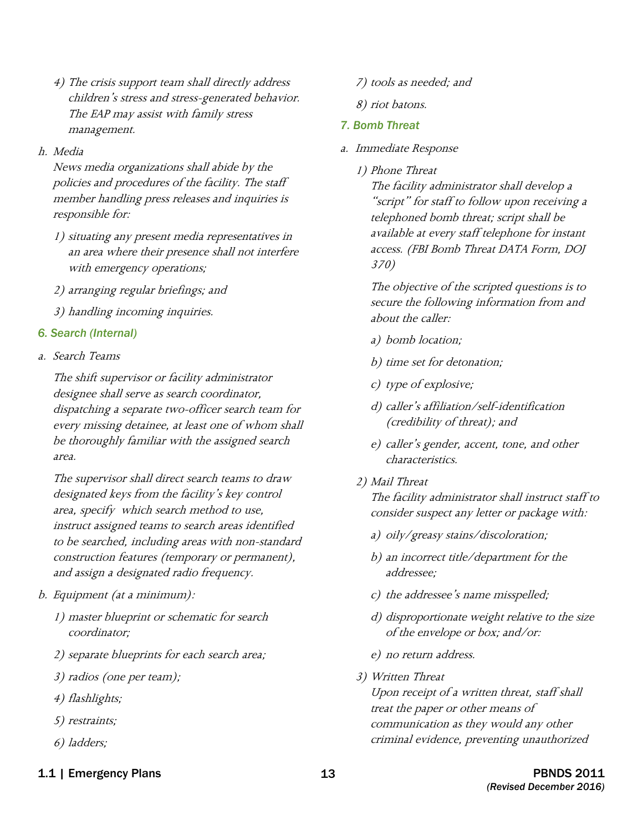4) The crisis support team shall directly address children's stress and stress-generated behavior. The EAP may assist with family stress management.

#### h. Media

 News media organizations shall abide by the policies and procedures of the facility. The staff member handling press releases and inquiries is responsible for:

- an area where their presence shall not interfere 1) situating any present media representatives in with emergency operations;
- 2) arranging regular briefings; and
- 3) handling incoming inquiries.

#### *6. Search (Internal)*

a. Search Teams

The shift supervisor or facility administrator designee shall serve as search coordinator, dispatching a separate two-officer search team for every missing detainee, at least one of whom shall be thoroughly familiar with the assigned search area.

 area, specify which search method to use, to be searched, including areas with non-standard The supervisor shall direct search teams to draw designated keys from the facility's key control instruct assigned teams to search areas identified construction features (temporary or permanent), and assign a designated radio frequency.

- b. Equipment (at a minimum):
	- 1) master blueprint or schematic for search coordinator;
	- 2) separate blueprints for each search area;
	- 3) radios (one per team);
	- 4) flashlights;
	- 5) restraints;
	- 6) ladders;
- 1.1 | Emergency Plans **13** PBNDS 2011
- 7) tools as needed; and
- 8) riot batons.

### *7. Bomb Threat*

- a. Immediate Response
	- 1) Phone Threat

The facility administrator shall develop a "script" for staff to follow upon receiving a telephoned bomb threat; script shall be available at every staff telephone for instant access. (FBI Bomb Threat DATA Form, DOJ 370)

The objective of the scripted questions is to secure the following information from and about the caller:

- a) bomb location;
- b) time set for detonation;
- c) type of explosive;
- d) caller's affiliation/self-identification (credibility of threat); and
- e) caller's gender, accent, tone, and other characteristics.
- 2) Mail Threat

The facility administrator shall instruct staff to consider suspect any letter or package with:

- a) oily/greasy stains/discoloration;
- b) an incorrect title/department for the addressee;
- c) the addressee's name misspelled;
- d) disproportionate weight relative to the size of the envelope or box; and/or:
- e) no return address.
- 3) Written Threat

Upon receipt of a written threat, staff shall treat the paper or other means of communication as they would any other criminal evidence, preventing unauthorized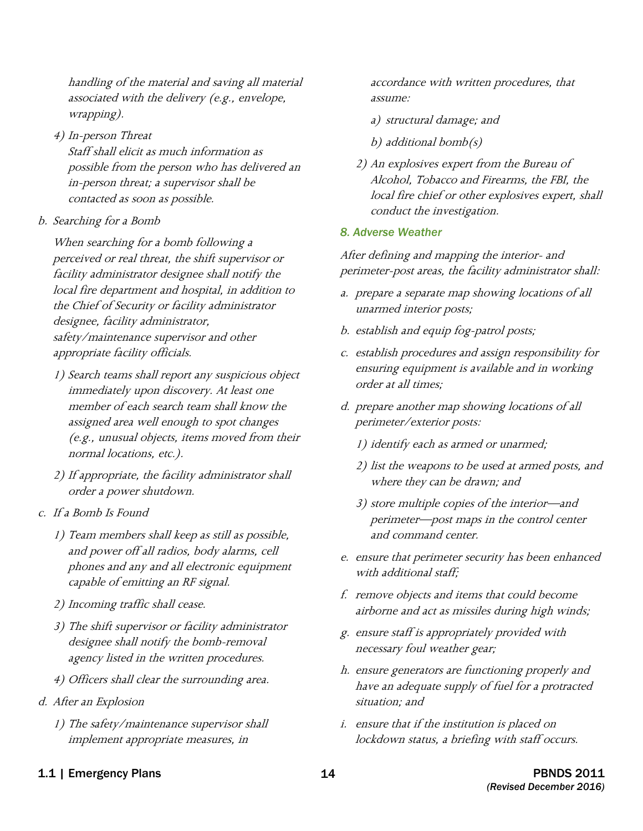handling of the material and saving all material associated with the delivery (e.g., envelope, wrapping).

- 4) In-person Threat Staff shall elicit as much information as possible from the person who has delivered an in-person threat; a supervisor shall be contacted as soon as possible.
- b. Searching for a Bomb

When searching for a bomb following a perceived or real threat, the shift supervisor or facility administrator designee shall notify the local fire department and hospital, in addition to the Chief of Security or facility administrator designee, facility administrator, safety/maintenance supervisor and other appropriate facility officials.

- 1) Search teams shall report any suspicious object immediately upon discovery. At least one member of each search team shall know the assigned area well enough to spot changes (e.g., unusual objects, items moved from their normal locations, etc.).
- 2) If appropriate, the facility administrator shall order a power shutdown.
- c. If a Bomb Is Found
	- 1) Team members shall keep as still as possible, and power off all radios, body alarms, cell phones and any and all electronic equipment capable of emitting an RF signal.
	- 2) Incoming traffic shall cease.
	- 3) The shift supervisor or facility administrator designee shall notify the bomb-removal agency listed in the written procedures.
	- 4) Officers shall clear the surrounding area.
- d. After an Explosion
	- 1) The safety/maintenance supervisor shall implement appropriate measures, in

accordance with written procedures, that assume:

- a) structural damage; and
- b) additional bomb(s)
- 2) An explosives expert from the Bureau of Alcohol, Tobacco and Firearms, the FBI, the local fire chief or other explosives expert, shall conduct the investigation.

#### *8. Adverse Weather*

After defining and mapping the interior- and perimeter-post areas, the facility administrator shall:

- a. prepare a separate map showing locations of all unarmed interior posts;
- b. establish and equip fog-patrol posts;
- c. establish procedures and assign responsibility for ensuring equipment is available and in working order at all times;
- d. prepare another map showing locations of all perimeter/exterior posts:
	- 1) identify each as armed or unarmed;
	- 2) list the weapons to be used at armed posts, and where they can be drawn; and
	- 3) store multiple copies of the interior—and perimeter—post maps in the control center and command center.
- e. ensure that perimeter security has been enhanced with additional staff:
- f. remove objects and items that could become airborne and act as missiles during high winds;
- g. ensure staff is appropriately provided with necessary foul weather gear;
- h. ensure generators are functioning properly and have an adequate supply of fuel for a protracted situation; and
- i. ensure that if the institution is placed on lockdown status, a briefing with staff occurs.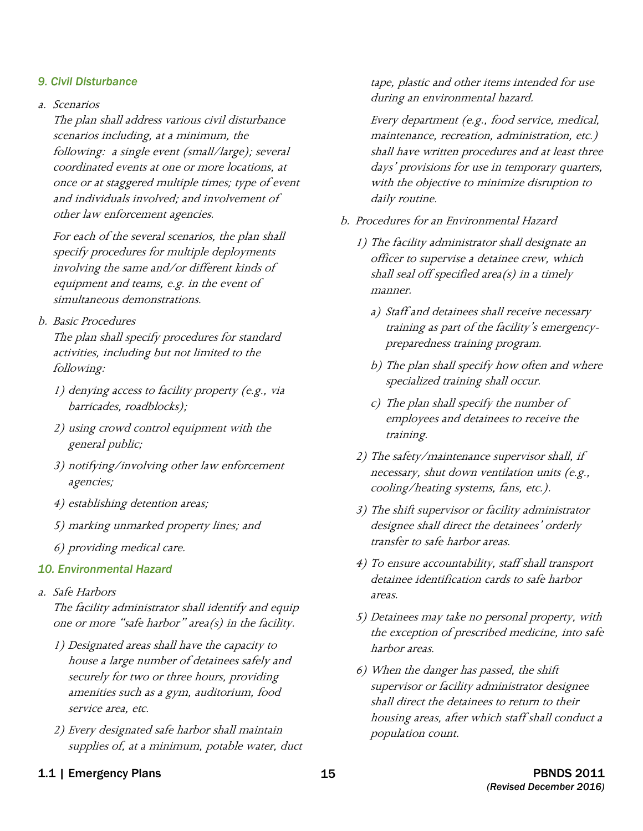#### *9. Civil Disturbance*

a. Scenarios

 following: a single event (small/large); several The plan shall address various civil disturbance scenarios including, at a minimum, the coordinated events at one or more locations, at once or at staggered multiple times; type of event and individuals involved; and involvement of other law enforcement agencies.

For each of the several scenarios, the plan shall specify procedures for multiple deployments involving the same and/or different kinds of equipment and teams, e.g. in the event of simultaneous demonstrations.

b. Basic Procedures

The plan shall specify procedures for standard activities, including but not limited to the following:

- 1) denying access to facility property (e.g., via barricades, roadblocks);
- 2) using crowd control equipment with the general public;
- 3) notifying/involving other law enforcement agencies;
- 4) establishing detention areas;
- 5) marking unmarked property lines; and
- 6) providing medical care.

#### *10. Environmental Hazard*

a. Safe Harbors

The facility administrator shall identify and equip one or more "safe harbor" area(s) in the facility.

- 1) Designated areas shall have the capacity to house a large number of detainees safely and securely for two or three hours, providing amenities such as a gym, auditorium, food service area, etc.
- 2) Every designated safe harbor shall maintain supplies of, at a minimum, potable water, duct

tape, plastic and other items intended for use during an environmental hazard.

Every department (e.g., food service, medical, maintenance, recreation, administration, etc.) shall have written procedures and at least three days' provisions for use in temporary quarters, with the objective to minimize disruption to daily routine.

- b. Procedures for an Environmental Hazard
	- 1) The facility administrator shall designate an officer to supervise a detainee crew, which shall seal off specified area $(s)$  in a timely manner.
		- a) Staff and detainees shall receive necessary training as part of the facility's emergencypreparedness training program.
		- b) The plan shall specify how often and where specialized training shall occur.
		- c) The plan shall specify the number of employees and detainees to receive the training.
	- 2) The safety/maintenance supervisor shall, if necessary, shut down ventilation units (e.g., cooling/heating systems, fans, etc.).
	- 3) The shift supervisor or facility administrator designee shall direct the detainees' orderly transfer to safe harbor areas.
	- 4) To ensure accountability, staff shall transport detainee identification cards to safe harbor areas.
	- 5) Detainees may take no personal property, with the exception of prescribed medicine, into safe harbor areas.
	- 6) When the danger has passed, the shift supervisor or facility administrator designee shall direct the detainees to return to their housing areas, after which staff shall conduct a population count.

#### 1.1 | Emergency Plans **15** and 15 and 15 and 15 and 15 and 15 and 15 and 15 and 15 and 15 and 16 and 16 and 16 and 16 and 16 and 16 and 16 and 16 and 16 and 16 and 16 and 16 and 16 and 16 and 16 and 16 and 16 and 16 and 16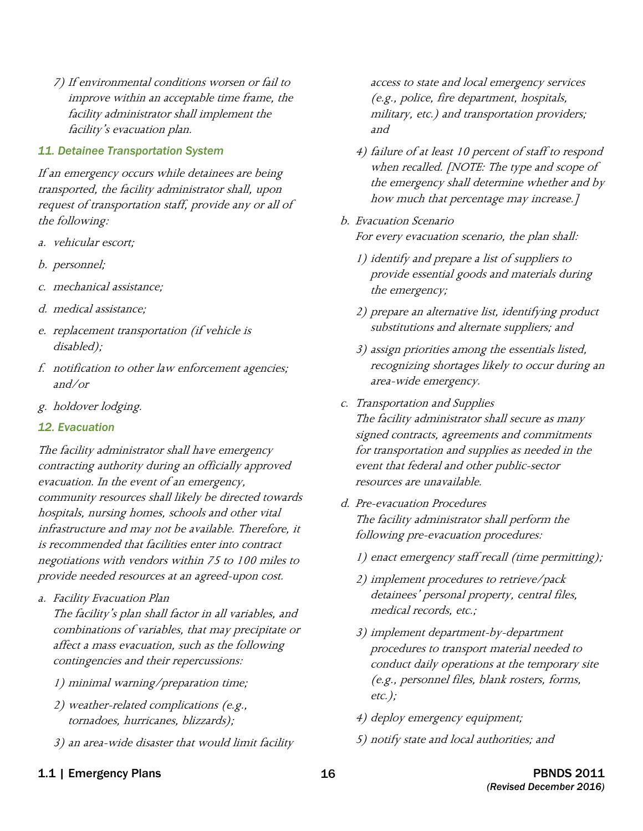7) If environmental conditions worsen or fail to improve within an acceptable time frame, the facility administrator shall implement the facility's evacuation plan.

#### *11. Detainee Transportation System*

If an emergency occurs while detainees are being transported, the facility administrator shall, upon request of transportation staff, provide any or all of the following:

- a. vehicular escort;
- b. personnel;
- c. mechanical assistance;
- d. medical assistance;
- e. replacement transportation (if vehicle is disabled);
- f. notification to other law enforcement agencies; and/or
- g. holdover lodging.

#### *12. Evacuation*

 negotiations with vendors within 75 to 100 miles to The facility administrator shall have emergency contracting authority during an officially approved evacuation. In the event of an emergency, community resources shall likely be directed towards hospitals, nursing homes, schools and other vital infrastructure and may not be available. Therefore, it is recommended that facilities enter into contract provide needed resources at an agreed-upon cost.

a. Facility Evacuation Plan

The facility's plan shall factor in all variables, and combinations of variables, that may precipitate or affect a mass evacuation, such as the following contingencies and their repercussions:

- 1) minimal warning/preparation time;
- 2) weather-related complications (e.g., tornadoes, hurricanes, blizzards);
- 3) an area-wide disaster that would limit facility

access to state and local emergency services (e.g., police, fire department, hospitals, military, etc.) and transportation providers; and

- 4) failure of at least 10 percent of staff to respond when recalled. [NOTE: The type and scope of the emergency shall determine whether and by how much that percentage may increase.]
- b. Evacuation Scenario For every evacuation scenario, the plan shall:
	- 1) identify and prepare a list of suppliers to provide essential goods and materials during the emergency;
	- 2) prepare an alternative list, identifying product substitutions and alternate suppliers; and
	- 3) assign priorities among the essentials listed, recognizing shortages likely to occur during an area-wide emergency.
- c. Transportation and Supplies The facility administrator shall secure as many signed contracts, agreements and commitments for transportation and supplies as needed in the event that federal and other public-sector resources are unavailable.
- d. Pre-evacuation Procedures The facility administrator shall perform the following pre-evacuation procedures:
	- 1) enact emergency staff recall (time permitting);
	- 2) implement procedures to retrieve/pack detainees' personal property, central files, medical records, etc.;
	- (e.g., personnel files, blank rosters, forms, 3) implement department-by-department procedures to transport material needed to conduct daily operations at the temporary site etc.);
	- 4) deploy emergency equipment;
	- 5) notify state and local authorities; and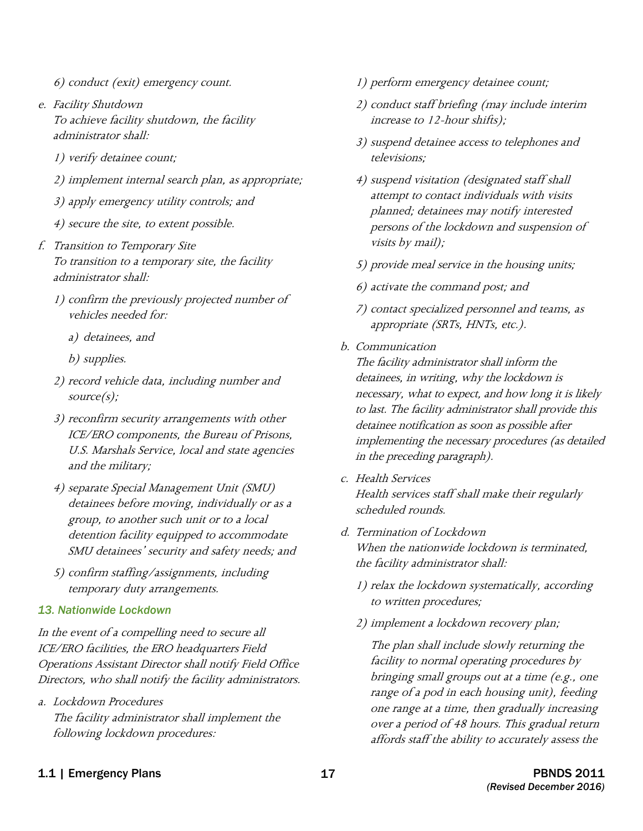6) conduct (exit) emergency count.

- e. Facility Shutdown To achieve facility shutdown, the facility administrator shall:
	- 1) verify detainee count;
	- 2) implement internal search plan, as appropriate;
	- 3) apply emergency utility controls; and
	- 4) secure the site, to extent possible.
- f. Transition to Temporary Site To transition to a temporary site, the facility administrator shall:
	- 1) confirm the previously projected number of vehicles needed for:
		- a) detainees, and
		- b) supplies.
	- 2) record vehicle data, including number and  $source(s);$
	- 3) reconfirm security arrangements with other ICE/ERO components, the Bureau of Prisons, U.S. Marshals Service, local and state agencies and the military;
	- 4) separate Special Management Unit (SMU) detainees before moving, individually or as a group, to another such unit or to a local detention facility equipped to accommodate SMU detainees' security and safety needs; and
	- 5) confirm staffing/assignments, including temporary duty arrangements.

#### *13. Nationwide Lockdown*

 In the event of a compelling need to secure all ICE/ERO facilities, the ERO headquarters Field Directors, who shall notify the facility administrators. Operations Assistant Director shall notify Field Office

a. Lockdown Procedures The facility administrator shall implement the following lockdown procedures:

- 1) perform emergency detainee count;
- 2) conduct staff briefing (may include interim increase to 12-hour shifts);
- 3) suspend detainee access to telephones and televisions;
- 4) suspend visitation (designated staff shall attempt to contact individuals with visits planned; detainees may notify interested persons of the lockdown and suspension of visits by mail);
- 5) provide meal service in the housing units;
- 6) activate the command post; and
- 7) contact specialized personnel and teams, as appropriate (SRTs, HNTs, etc.).
- b. Communication

 detainees, in writing, why the lockdown is necessary, what to expect, and how long it is likely to last. The facility administrator shall provide this detainee notification as soon as possible after implementing the necessary procedures (as detailed The facility administrator shall inform the in the preceding paragraph).

- c. Health Services Health services staff shall make their regularly scheduled rounds.
- d. Termination of Lockdown When the nationwide lockdown is terminated, the facility administrator shall:
	- 1) relax the lockdown systematically, according to written procedures;
	- 2) implement a lockdown recovery plan;

 affords staff the ability to accurately assess the The plan shall include slowly returning the facility to normal operating procedures by bringing small groups out at a time (e.g., one range of a pod in each housing unit), feeding one range at a time, then gradually increasing over a period of 48 hours. This gradual return

1.1 | Emergency Plans **17** 17 **PBNDS** 2011